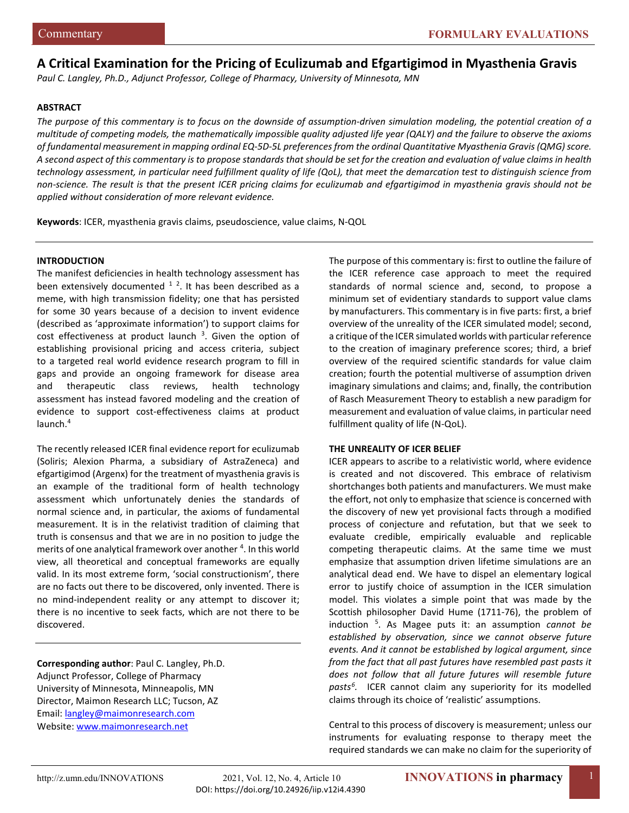# **A Critical Examination for the Pricing of Eculizumab and Efgartigimod in Myasthenia Gravis**

*Paul C. Langley, Ph.D., Adjunct Professor, College of Pharmacy, University of Minnesota, MN*

#### **ABSTRACT**

*The purpose of this commentary is to focus on the downside of assumption-driven simulation modeling, the potential creation of a multitude of competing models, the mathematically impossible quality adjusted life year (QALY) and the failure to observe the axioms of fundamental measurement in mapping ordinal EQ-5D-5L preferences from the ordinal Quantitative Myasthenia Gravis (QMG) score. A second aspect of this commentary is to propose standards that should be set for the creation and evaluation of value claims in health technology assessment, in particular need fulfillment quality of life (QoL), that meet the demarcation test to distinguish science from non-science. The result is that the present ICER pricing claims for eculizumab and efgartigimod in myasthenia gravis should not be applied without consideration of more relevant evidence.* 

**Keywords**: ICER, myasthenia gravis claims, pseudoscience, value claims, N-QOL

#### **INTRODUCTION**

The manifest deficiencies in health technology assessment has been extensively documented  $1/2$  $1/2$  $1/2$ . It has been described as a meme, with high transmission fidelity; one that has persisted for some 30 years because of a decision to invent evidence (described as 'approximate information') to support claims for cost effectiveness at product launch  $3$ . Given the option of establishing provisional pricing and access criteria, subject to a targeted real world evidence research program to fill in gaps and provide an ongoing framework for disease area and therapeutic class reviews, health technology assessment has instead favored modeling and the creation of evidence to support cost-effectiveness claims at product launch.4

The recently released ICER final evidence report for eculizumab (Soliris; Alexion Pharma, a subsidiary of AstraZeneca) and efgartigimod (Argenx) for the treatment of myasthenia gravis is an example of the traditional form of health technology assessment which unfortunately denies the standards of normal science and, in particular, the axioms of fundamental measurement. It is in the relativist tradition of claiming that truth is consensus and that we are in no position to judge the merits of one analytical framework over another <sup>[4](#page-6-3)</sup>. In this world view, all theoretical and conceptual frameworks are equally valid. In its most extreme form, 'social constructionism', there are no facts out there to be discovered, only invented. There is no mind-independent reality or any attempt to discover it; there is no incentive to seek facts, which are not there to be discovered.

**Corresponding author**: Paul C. Langley, Ph.D. Adjunct Professor, College of Pharmacy University of Minnesota, Minneapolis, MN Director, Maimon Research LLC; Tucson, AZ Email: [langley@maimonresearch.com](mailto:langley@maimonresearch.com) Website[: www.maimonresearch.net](http://www.maimonresearch.net/)

The purpose of this commentary is: first to outline the failure of the ICER reference case approach to meet the required standards of normal science and, second, to propose a minimum set of evidentiary standards to support value clams by manufacturers. This commentary is in five parts: first, a brief overview of the unreality of the ICER simulated model; second, a critique of the ICER simulated worlds with particular reference to the creation of imaginary preference scores; third, a brief overview of the required scientific standards for value claim creation; fourth the potential multiverse of assumption driven imaginary simulations and claims; and, finally, the contribution of Rasch Measurement Theory to establish a new paradigm for measurement and evaluation of value claims, in particular need fulfillment quality of life (N-QoL).

#### **THE UNREALITY OF ICER BELIEF**

ICER appears to ascribe to a relativistic world, where evidence is created and not discovered. This embrace of relativism shortchanges both patients and manufacturers. We must make the effort, not only to emphasize that science is concerned with the discovery of new yet provisional facts through a modified process of conjecture and refutation, but that we seek to evaluate credible, empirically evaluable and replicable competing therapeutic claims. At the same time we must emphasize that assumption driven lifetime simulations are an analytical dead end. We have to dispel an elementary logical error to justify choice of assumption in the ICER simulation model. This violates a simple point that was made by the Scottish philosopher David Hume (1711-76), the problem of induction [5](#page-6-4) . As Magee puts it: an assumption *cannot be established by observation, since we cannot observe future events. And it cannot be established by logical argument, since from the fact that all past futures have resembled past pasts it does not follow that all future futures will resemble future pasts[6](#page-6-5) .* ICER cannot claim any superiority for its modelled claims through its choice of 'realistic' assumptions.

Central to this process of discovery is measurement; unless our instruments for evaluating response to therapy meet the required standards we can make no claim for the superiority of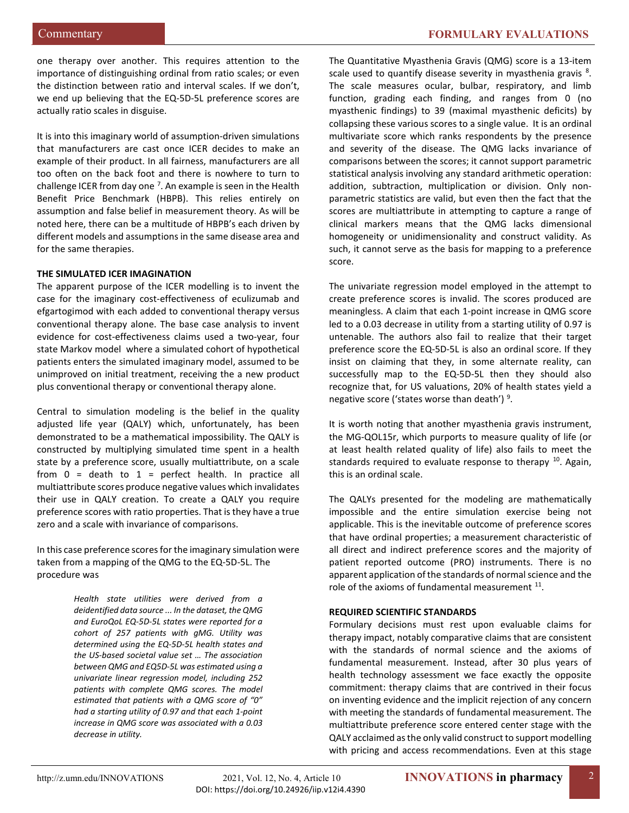one therapy over another. This requires attention to the importance of distinguishing ordinal from ratio scales; or even the distinction between ratio and interval scales. If we don't, we end up believing that the EQ-5D-5L preference scores are actually ratio scales in disguise.

It is into this imaginary world of assumption-driven simulations that manufacturers are cast once ICER decides to make an example of their product. In all fairness, manufacturers are all too often on the back foot and there is nowhere to turn to challenge ICER from day one  $7$ . An example is seen in the Health Benefit Price Benchmark (HBPB). This relies entirely on assumption and false belief in measurement theory. As will be noted here, there can be a multitude of HBPB's each driven by different models and assumptions in the same disease area and for the same therapies.

# **THE SIMULATED ICER IMAGINATION**

The apparent purpose of the ICER modelling is to invent the case for the imaginary cost-effectiveness of eculizumab and efgartogimod with each added to conventional therapy versus conventional therapy alone. The base case analysis to invent evidence for cost-effectiveness claims used a two-year, four state Markov model where a simulated cohort of hypothetical patients enters the simulated imaginary model, assumed to be unimproved on initial treatment, receiving the a new product plus conventional therapy or conventional therapy alone.

Central to simulation modeling is the belief in the quality adjusted life year (QALY) which, unfortunately, has been demonstrated to be a mathematical impossibility. The QALY is constructed by multiplying simulated time spent in a health state by a preference score, usually multiattribute, on a scale from  $0 =$  death to  $1 =$  perfect health. In practice all multiattribute scores produce negative values which invalidates their use in QALY creation. To create a QALY you require preference scores with ratio properties. That is they have a true zero and a scale with invariance of comparisons.

In this case preference scores for the imaginary simulation were taken from a mapping of the QMG to the EQ-5D-5L. The procedure was

> *Health state utilities were derived from a deidentified data source ... In the dataset, the QMG and EuroQoL EQ-5D-5L states were reported for a cohort of 257 patients with gMG. Utility was determined using the EQ-5D-5L health states and the US-based societal value set … The association between QMG and EQ5D-5L was estimated using a univariate linear regression model, including 252 patients with complete QMG scores. The model estimated that patients with a QMG score of "0" had a starting utility of 0.97 and that each 1-point increase in QMG score was associated with a 0.03 decrease in utility.*

The Quantitative Myasthenia Gravis (QMG) score is a 13-item scale used to quantify disease severity in myasthenia gravis <sup>[8](#page-6-7)</sup>. The scale measures ocular, bulbar, respiratory, and limb function, grading each finding, and ranges from 0 (no myasthenic findings) to 39 (maximal myasthenic deficits) by collapsing these various scores to a single value. It is an ordinal multivariate score which ranks respondents by the presence and severity of the disease. The QMG lacks invariance of comparisons between the scores; it cannot support parametric statistical analysis involving any standard arithmetic operation: addition, subtraction, multiplication or division. Only nonparametric statistics are valid, but even then the fact that the scores are multiattribute in attempting to capture a range of clinical markers means that the QMG lacks dimensional homogeneity or unidimensionality and construct validity. As such, it cannot serve as the basis for mapping to a preference score.

The univariate regression model employed in the attempt to create preference scores is invalid. The scores produced are meaningless. A claim that each 1-point increase in QMG score led to a 0.03 decrease in utility from a starting utility of 0.97 is untenable. The authors also fail to realize that their target preference score the EQ-5D-5L is also an ordinal score. If they insist on claiming that they, in some alternate reality, can successfully map to the EQ-5D-5L then they should also recognize that, for US valuations, 20% of health states yield a negative score ('states worse than death')<sup>[9](#page-6-8)</sup>.

It is worth noting that another myasthenia gravis instrument, the MG-QOL15r, which purports to measure quality of life (or at least health related quality of life) also fails to meet the standards required to evaluate response to therapy  $10$ . Again, this is an ordinal scale.

The QALYs presented for the modeling are mathematically impossible and the entire simulation exercise being not applicable. This is the inevitable outcome of preference scores that have ordinal properties; a measurement characteristic of all direct and indirect preference scores and the majority of patient reported outcome (PRO) instruments. There is no apparent application of the standards of normal science and the role of the axioms of fundamental measurement <sup>[11](#page-6-10)</sup>.

#### **REQUIRED SCIENTIFIC STANDARDS**

Formulary decisions must rest upon evaluable claims for therapy impact, notably comparative claims that are consistent with the standards of normal science and the axioms of fundamental measurement. Instead, after 30 plus years of health technology assessment we face exactly the opposite commitment: therapy claims that are contrived in their focus on inventing evidence and the implicit rejection of any concern with meeting the standards of fundamental measurement. The multiattribute preference score entered center stage with the QALY acclaimed as the only valid construct to support modelling with pricing and access recommendations. Even at this stage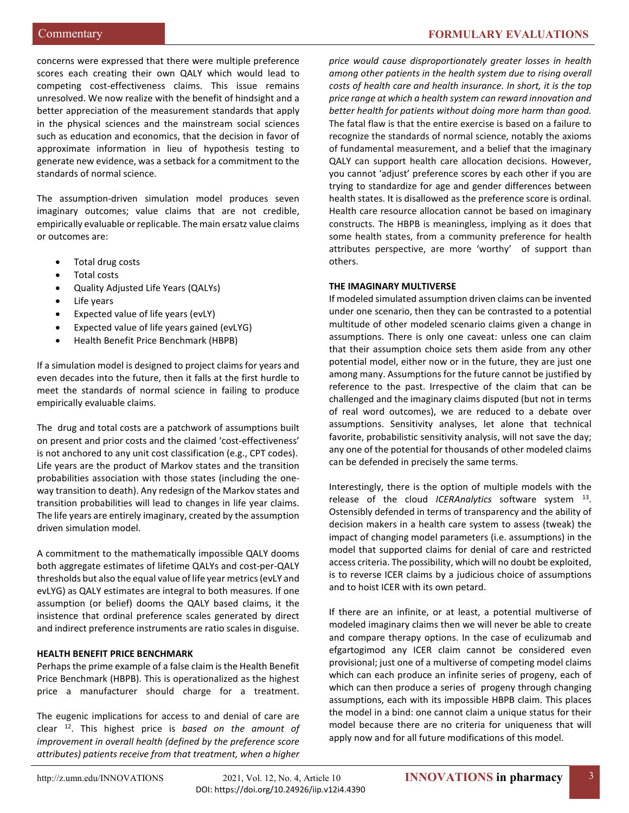concerns were expressed that there were multiple preference scores each creating their own QALY which would lead to competing cost-effectiveness claims. This issue remains unresolved. We now realize with the benefit of hindsight and a better appreciation of the measurement standards that apply in the physical sciences and the mainstream social sciences such as education and economics, that the decision in favor of approximate information in lieu of hypothesis testing to generate new evidence, was a setback for a commitment to the standards of normal science.

The assumption-driven simulation model produces seven imaginary outcomes; value claims that are not credible, empirically evaluable or replicable. The main ersatz value claims or outcomes are:

- Total drug costs
- Total costs
- Quality Adjusted Life Years (QALYs)
- Life years
- Expected value of life years (evLY)
- Expected value of life years gained (evLYG)
- Health Benefit Price Benchmark (HBPB)

If a simulation model is designed to project claims for years and even decades into the future, then it falls at the first hurdle to meet the standards of normal science in failing to produce empirically evaluable claims.

The drug and total costs are a patchwork of assumptions built on present and prior costs and the claimed 'cost-effectiveness' is not anchored to any unit cost classification (e.g., CPT codes). Life years are the product of Markov states and the transition probabilities association with those states (including the oneway transition to death). Any redesign of the Markov states and transition probabilities will lead to changes in life year claims. The life years are entirely imaginary, created by the assumption driven simulation model.

A commitment to the mathematically impossible QALY dooms both aggregate estimates of lifetime QALYs and cost-per-QALY thresholds but also the equal value of life year metrics (evLY and evLYG) as QALY estimates are integral to both measures. If one assumption (or belief) dooms the QALY based claims, it the insistence that ordinal preference scales generated by direct and indirect preference instruments are ratio scales in disguise.

# **HEALTH BENEFIT PRICE BENCHMARK**

Perhaps the prime example of a false claim is the Health Benefit Price Benchmark (HBPB). This is operationalized as the highest price a manufacturer should charge for a treatment.

The eugenic implications for access to and denial of care are clear [12](#page-6-11). This highest price is *based on the amount of improvement in overall health (defined by the preference score attributes) patients receive from that treatment, when a higher* 

*price would cause disproportionately greater losses in health among other patients in the health system due to rising overall costs of health care and health insurance. In short, it is the top price range at which a health system can reward innovation and better health for patients without doing more harm than good.*  The fatal flaw is that the entire exercise is based on a failure to recognize the standards of normal science, notably the axioms of fundamental measurement, and a belief that the imaginary QALY can support health care allocation decisions. However, you cannot 'adjust' preference scores by each other if you are trying to standardize for age and gender differences between health states. It is disallowed as the preference score is ordinal. Health care resource allocation cannot be based on imaginary constructs. The HBPB is meaningless, implying as it does that some health states, from a community preference for health attributes perspective, are more 'worthy' of support than others.

# **THE IMAGINARY MULTIVERSE**

If modeled simulated assumption driven claims can be invented under one scenario, then they can be contrasted to a potential multitude of other modeled scenario claims given a change in assumptions. There is only one caveat: unless one can claim that their assumption choice sets them aside from any other potential model, either now or in the future, they are just one among many. Assumptions for the future cannot be justified by reference to the past. Irrespective of the claim that can be challenged and the imaginary claims disputed (but not in terms of real word outcomes), we are reduced to a debate over assumptions. Sensitivity analyses, let alone that technical favorite, probabilistic sensitivity analysis, will not save the day; any one of the potential for thousands of other modeled claims can be defended in precisely the same terms.

Interestingly, there is the option of multiple models with the release of the cloud *ICERAnalytics* software system [13](#page-6-12). Ostensibly defended in terms of transparency and the ability of decision makers in a health care system to assess (tweak) the impact of changing model parameters (i.e. assumptions) in the model that supported claims for denial of care and restricted access criteria. The possibility, which will no doubt be exploited, is to reverse ICER claims by a judicious choice of assumptions and to hoist ICER with its own petard.

If there are an infinite, or at least, a potential multiverse of modeled imaginary claims then we will never be able to create and compare therapy options. In the case of eculizumab and efgartogimod any ICER claim cannot be considered even provisional; just one of a multiverse of competing model claims which can each produce an infinite series of progeny, each of which can then produce a series of progeny through changing assumptions, each with its impossible HBPB claim. This places the model in a bind: one cannot claim a unique status for their model because there are no criteria for uniqueness that will apply now and for all future modifications of this model.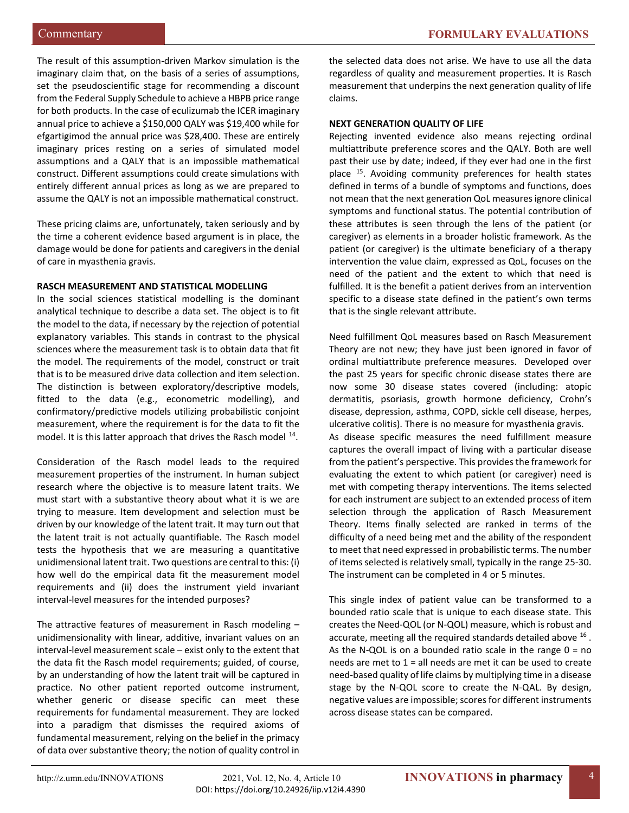The result of this assumption-driven Markov simulation is the imaginary claim that, on the basis of a series of assumptions, set the pseudoscientific stage for recommending a discount from the Federal Supply Schedule to achieve a HBPB price range for both products. In the case of eculizumab the ICER imaginary annual price to achieve a \$150,000 QALY was \$19,400 while for efgartigimod the annual price was \$28,400. These are entirely imaginary prices resting on a series of simulated model assumptions and a QALY that is an impossible mathematical construct. Different assumptions could create simulations with entirely different annual prices as long as we are prepared to assume the QALY is not an impossible mathematical construct.

These pricing claims are, unfortunately, taken seriously and by the time a coherent evidence based argument is in place, the damage would be done for patients and caregivers in the denial of care in myasthenia gravis.

#### **RASCH MEASUREMENT AND STATISTICAL MODELLING**

In the social sciences statistical modelling is the dominant analytical technique to describe a data set. The object is to fit the model to the data, if necessary by the rejection of potential explanatory variables. This stands in contrast to the physical sciences where the measurement task is to obtain data that fit the model. The requirements of the model, construct or trait that is to be measured drive data collection and item selection. The distinction is between exploratory/descriptive models, fitted to the data (e.g., econometric modelling), and confirmatory/predictive models utilizing probabilistic conjoint measurement, where the requirement is for the data to fit the model. It is this latter approach that drives the Rasch model <sup>14</sup>.

Consideration of the Rasch model leads to the required measurement properties of the instrument. In human subject research where the objective is to measure latent traits. We must start with a substantive theory about what it is we are trying to measure. Item development and selection must be driven by our knowledge of the latent trait. It may turn out that the latent trait is not actually quantifiable. The Rasch model tests the hypothesis that we are measuring a quantitative unidimensional latent trait. Two questions are central to this: (i) how well do the empirical data fit the measurement model requirements and (ii) does the instrument yield invariant interval-level measures for the intended purposes?

The attractive features of measurement in Rasch modeling – unidimensionality with linear, additive, invariant values on an interval-level measurement scale – exist only to the extent that the data fit the Rasch model requirements; guided, of course, by an understanding of how the latent trait will be captured in practice. No other patient reported outcome instrument, whether generic or disease specific can meet these requirements for fundamental measurement. They are locked into a paradigm that dismisses the required axioms of fundamental measurement, relying on the belief in the primacy of data over substantive theory; the notion of quality control in

the selected data does not arise. We have to use all the data regardless of quality and measurement properties. It is Rasch measurement that underpins the next generation quality of life claims.

# **NEXT GENERATION QUALITY OF LIFE**

Rejecting invented evidence also means rejecting ordinal multiattribute preference scores and the QALY. Both are well past their use by date; indeed, if they ever had one in the first place <sup>15</sup>. Avoiding community preferences for health states defined in terms of a bundle of symptoms and functions, does not mean that the next generation QoL measures ignore clinical symptoms and functional status. The potential contribution of these attributes is seen through the lens of the patient (or caregiver) as elements in a broader holistic framework. As the patient (or caregiver) is the ultimate beneficiary of a therapy intervention the value claim, expressed as QoL, focuses on the need of the patient and the extent to which that need is fulfilled. It is the benefit a patient derives from an intervention specific to a disease state defined in the patient's own terms that is the single relevant attribute.

Need fulfillment QoL measures based on Rasch Measurement Theory are not new; they have just been ignored in favor of ordinal multiattribute preference measures. Developed over the past 25 years for specific chronic disease states there are now some 30 disease states covered (including: atopic dermatitis, psoriasis, growth hormone deficiency, Crohn's disease, depression, asthma, COPD, sickle cell disease, herpes, ulcerative colitis). There is no measure for myasthenia gravis. As disease specific measures the need fulfillment measure captures the overall impact of living with a particular disease from the patient's perspective. This provides the framework for evaluating the extent to which patient (or caregiver) need is met with competing therapy interventions. The items selected for each instrument are subject to an extended process of item selection through the application of Rasch Measurement

Theory. Items finally selected are ranked in terms of the difficulty of a need being met and the ability of the respondent to meet that need expressed in probabilistic terms. The number of items selected is relatively small, typically in the range 25-30. The instrument can be completed in 4 or 5 minutes.

This single index of patient value can be transformed to a bounded ratio scale that is unique to each disease state. This creates the Need-QOL (or N-QOL) measure, which is robust and accurate, meeting all the required standards detailed above <sup>[16](#page-6-15)</sup>. As the N-QOL is on a bounded ratio scale in the range  $0 = no$ needs are met to  $1$  = all needs are met it can be used to create need-based quality of life claims by multiplying time in a disease stage by the N-QOL score to create the N-QAL. By design, negative values are impossible; scores for different instruments across disease states can be compared.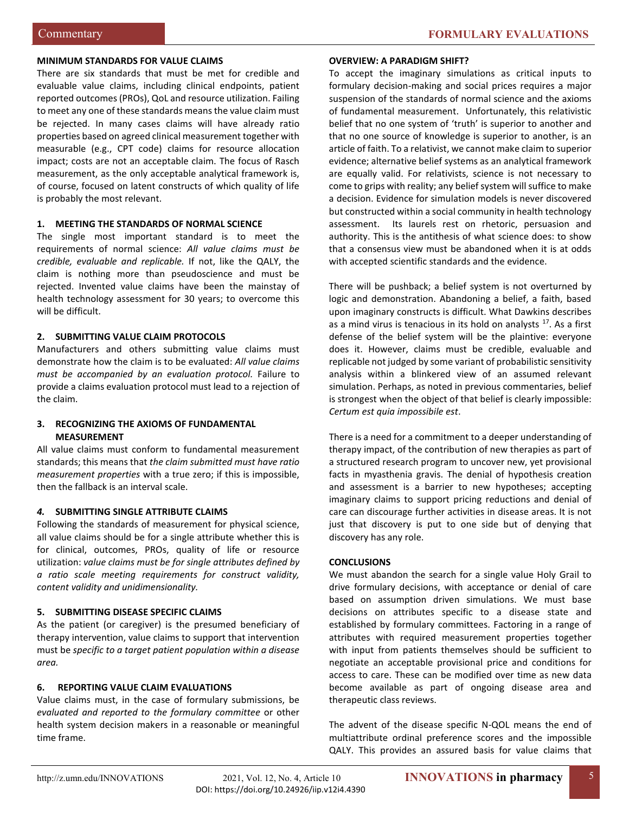#### **MINIMUM STANDARDS FOR VALUE CLAIMS**

There are six standards that must be met for credible and evaluable value claims, including clinical endpoints, patient reported outcomes (PROs), QoL and resource utilization. Failing to meet any one of these standards means the value claim must be rejected. In many cases claims will have already ratio properties based on agreed clinical measurement together with measurable (e.g., CPT code) claims for resource allocation impact; costs are not an acceptable claim. The focus of Rasch measurement, as the only acceptable analytical framework is, of course, focused on latent constructs of which quality of life is probably the most relevant.

# **1. MEETING THE STANDARDS OF NORMAL SCIENCE**

The single most important standard is to meet the requirements of normal science: *All value claims must be credible, evaluable and replicable.* If not, like the QALY, the claim is nothing more than pseudoscience and must be rejected. Invented value claims have been the mainstay of health technology assessment for 30 years; to overcome this will be difficult.

# **2. SUBMITTING VALUE CLAIM PROTOCOLS**

Manufacturers and others submitting value claims must demonstrate how the claim is to be evaluated: *All value claims must be accompanied by an evaluation protocol.* Failure to provide a claims evaluation protocol must lead to a rejection of the claim.

# **3. RECOGNIZING THE AXIOMS OF FUNDAMENTAL MEASUREMENT**

All value claims must conform to fundamental measurement standards; this means that *the claim submitted must have ratio measurement properties* with a true zero; if this is impossible, then the fallback is an interval scale.

# *4.* **SUBMITTING SINGLE ATTRIBUTE CLAIMS**

Following the standards of measurement for physical science, all value claims should be for a single attribute whether this is for clinical, outcomes, PROs, quality of life or resource utilization: *value claims must be for single attributes defined by a ratio scale meeting requirements for construct validity, content validity and unidimensionality.* 

# **5. SUBMITTING DISEASE SPECIFIC CLAIMS**

As the patient (or caregiver) is the presumed beneficiary of therapy intervention, value claims to support that intervention must be *specific to a target patient population within a disease area.*

# **6. REPORTING VALUE CLAIM EVALUATIONS**

Value claims must, in the case of formulary submissions, be *evaluated and reported to the formulary committee* or other health system decision makers in a reasonable or meaningful time frame.

#### **OVERVIEW: A PARADIGM SHIFT?**

To accept the imaginary simulations as critical inputs to formulary decision-making and social prices requires a major suspension of the standards of normal science and the axioms of fundamental measurement. Unfortunately, this relativistic belief that no one system of 'truth' is superior to another and that no one source of knowledge is superior to another, is an article of faith. To a relativist, we cannot make claim to superior evidence; alternative belief systems as an analytical framework are equally valid. For relativists, science is not necessary to come to grips with reality; any belief system will suffice to make a decision. Evidence for simulation models is never discovered but constructed within a social community in health technology assessment. Its laurels rest on rhetoric, persuasion and authority. This is the antithesis of what science does: to show that a consensus view must be abandoned when it is at odds with accepted scientific standards and the evidence.

There will be pushback; a belief system is not overturned by logic and demonstration. Abandoning a belief, a faith, based upon imaginary constructs is difficult. What Dawkins describes as a mind virus is tenacious in its hold on analysts  $17$ . As a first defense of the belief system will be the plaintive: everyone does it. However, claims must be credible, evaluable and replicable not judged by some variant of probabilistic sensitivity analysis within a blinkered view of an assumed relevant simulation. Perhaps, as noted in previous commentaries, belief is strongest when the object of that belief is clearly impossible: *Certum est quia impossibile est*.

There is a need for a commitment to a deeper understanding of therapy impact, of the contribution of new therapies as part of a structured research program to uncover new, yet provisional facts in myasthenia gravis. The denial of hypothesis creation and assessment is a barrier to new hypotheses; accepting imaginary claims to support pricing reductions and denial of care can discourage further activities in disease areas. It is not just that discovery is put to one side but of denying that discovery has any role.

#### **CONCLUSIONS**

We must abandon the search for a single value Holy Grail to drive formulary decisions, with acceptance or denial of care based on assumption driven simulations. We must base decisions on attributes specific to a disease state and established by formulary committees. Factoring in a range of attributes with required measurement properties together with input from patients themselves should be sufficient to negotiate an acceptable provisional price and conditions for access to care. These can be modified over time as new data become available as part of ongoing disease area and therapeutic class reviews.

The advent of the disease specific N-QOL means the end of multiattribute ordinal preference scores and the impossible QALY. This provides an assured basis for value claims that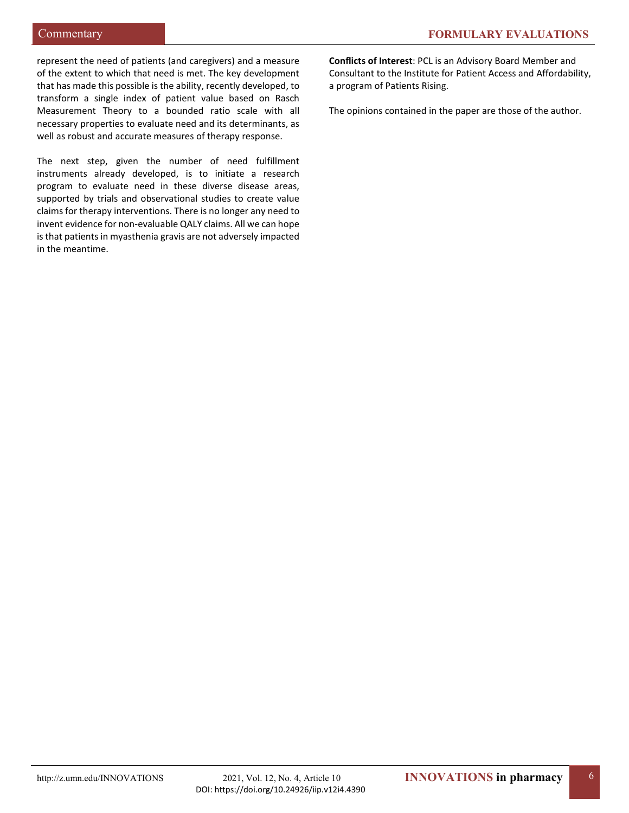represent the need of patients (and caregivers) and a measure of the extent to which that need is met. The key development that has made this possible is the ability, recently developed, to transform a single index of patient value based on Rasch Measurement Theory to a bounded ratio scale with all necessary properties to evaluate need and its determinants, as well as robust and accurate measures of therapy response.

The next step, given the number of need fulfillment instruments already developed, is to initiate a research program to evaluate need in these diverse disease areas, supported by trials and observational studies to create value claims for therapy interventions. There is no longer any need to invent evidence for non-evaluable QALY claims. All we can hope is that patients in myasthenia gravis are not adversely impacted in the meantime.

**Conflicts of Interest**: PCL is an Advisory Board Member and Consultant to the Institute for Patient Access and Affordability, a program of Patients Rising.

The opinions contained in the paper are those of the author.